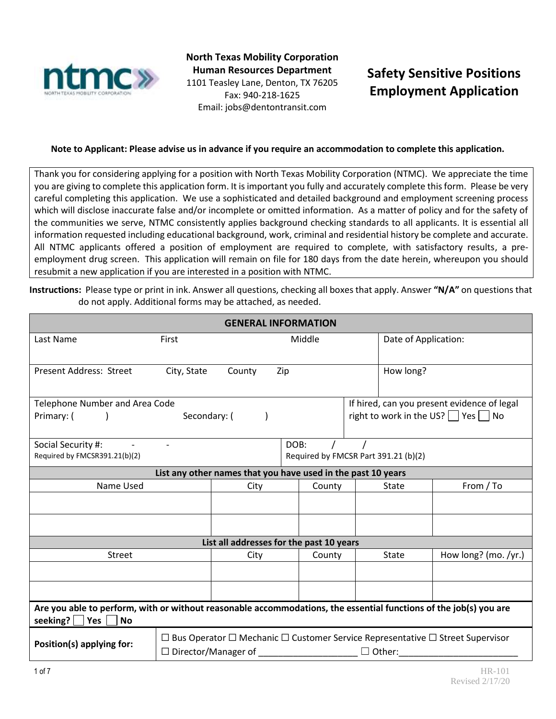

**North Texas Mobility Corporation Human Resources Department** 1101 Teasley Lane, Denton, TX 76205 Fax: 940-218-1625 Email: jobs@dentontransit.com

# **Safety Sensitive Positions Employment Application**

# **Note to Applicant: Please advise us in advance if you require an accommodation to complete this application.**

Thank you for considering applying for a position with North Texas Mobility Corporation (NTMC). We appreciate the time you are giving to complete this application form. It is important you fully and accurately complete this form. Please be very careful completing this application. We use a sophisticated and detailed background and employment screening process which will disclose inaccurate false and/or incomplete or omitted information. As a matter of policy and for the safety of the communities we serve, NTMC consistently applies background checking standards to all applicants. It is essential all information requested including educational background, work, criminal and residential history be complete and accurate. All NTMC applicants offered a position of employment are required to complete, with satisfactory results, a preemployment drug screen. This application will remain on file for 180 days from the date herein, whereupon you should resubmit a new application if you are interested in a position with NTMC.

**Instructions:** Please type or print in ink. Answer all questions, checking all boxes that apply. Answer **"N/A"** on questions that do not apply. Additional forms may be attached, as needed.

| <b>GENERAL INFORMATION</b>                                                                                                                                   |                 |                                                                                 |        |                                               |                                      |                                             |  |
|--------------------------------------------------------------------------------------------------------------------------------------------------------------|-----------------|---------------------------------------------------------------------------------|--------|-----------------------------------------------|--------------------------------------|---------------------------------------------|--|
| Last Name                                                                                                                                                    | First<br>Middle |                                                                                 |        |                                               | Date of Application:                 |                                             |  |
|                                                                                                                                                              |                 |                                                                                 |        |                                               |                                      |                                             |  |
| Present Address: Street                                                                                                                                      | City, State     | County                                                                          | Zip    |                                               | How long?                            |                                             |  |
|                                                                                                                                                              |                 |                                                                                 |        |                                               |                                      |                                             |  |
| Telephone Number and Area Code                                                                                                                               |                 |                                                                                 |        |                                               |                                      | If hired, can you present evidence of legal |  |
| Primary: (<br>$\overline{\phantom{a}}$                                                                                                                       | Secondary: (    |                                                                                 |        | right to work in the US? $\Box$ Yes $\Box$ No |                                      |                                             |  |
| Social Security #:<br><b>Contract Contract</b>                                                                                                               | $\blacksquare$  |                                                                                 | DOB:   | $\sqrt{2}$                                    |                                      |                                             |  |
| Required by FMCSR391.21(b)(2)                                                                                                                                |                 |                                                                                 |        |                                               | Required by FMCSR Part 391.21 (b)(2) |                                             |  |
| List any other names that you have used in the past 10 years                                                                                                 |                 |                                                                                 |        |                                               |                                      |                                             |  |
| Name Used                                                                                                                                                    |                 | City                                                                            | County | State                                         |                                      | From / To                                   |  |
|                                                                                                                                                              |                 |                                                                                 |        |                                               |                                      |                                             |  |
|                                                                                                                                                              |                 |                                                                                 |        |                                               |                                      |                                             |  |
|                                                                                                                                                              |                 | List all addresses for the past 10 years                                        |        |                                               |                                      |                                             |  |
| <b>Street</b>                                                                                                                                                |                 | City                                                                            | County | State                                         |                                      | How $long?$ (mo. /yr.)                      |  |
|                                                                                                                                                              |                 |                                                                                 |        |                                               |                                      |                                             |  |
|                                                                                                                                                              |                 |                                                                                 |        |                                               |                                      |                                             |  |
| Are you able to perform, with or without reasonable accommodations, the essential functions of the job(s) you are<br>seeking? $\Box$ Yes $\Box$<br><b>No</b> |                 |                                                                                 |        |                                               |                                      |                                             |  |
|                                                                                                                                                              |                 | □ Bus Operator □ Mechanic □ Customer Service Representative □ Street Supervisor |        |                                               |                                      |                                             |  |
| Position(s) applying for:<br>□ Director/Manager of<br>$\Box$ Other:                                                                                          |                 |                                                                                 |        |                                               |                                      |                                             |  |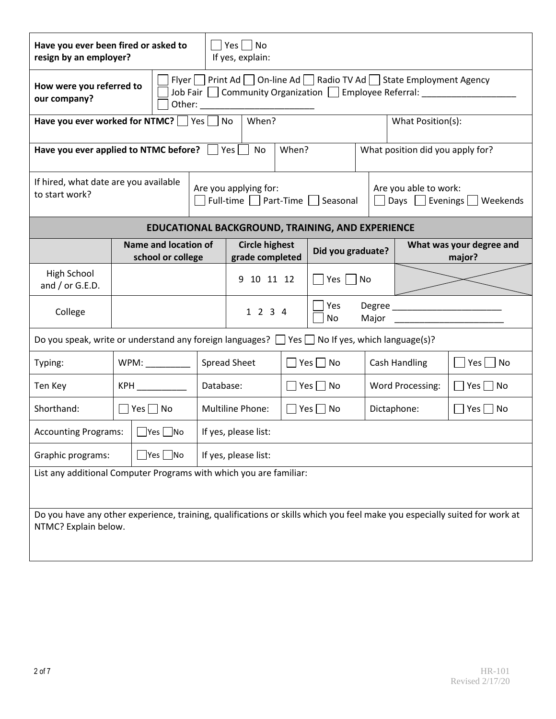| Have you ever been fired or asked to<br>$Yes \mid \text{No}$<br>resign by an employer?<br>If yes, explain:                                         |                                                                                                                                                                 |                                           |                                                       |                                          |  |                                                             |                                                 |                      |                                    |  |
|----------------------------------------------------------------------------------------------------------------------------------------------------|-----------------------------------------------------------------------------------------------------------------------------------------------------------------|-------------------------------------------|-------------------------------------------------------|------------------------------------------|--|-------------------------------------------------------------|-------------------------------------------------|----------------------|------------------------------------|--|
| our company?                                                                                                                                       | Flyer Print Ad On-line Ad Radio TV Ad State Employment Agency<br>How were you referred to<br>Job Fair   Community Organization   Employee Referral: ___________ |                                           |                                                       |                                          |  |                                                             |                                                 |                      |                                    |  |
| When?<br>Have you ever worked for NTMC? $\Box$ Yes $\Box$ No<br>What Position(s):                                                                  |                                                                                                                                                                 |                                           |                                                       |                                          |  |                                                             |                                                 |                      |                                    |  |
| When?<br>Have you ever applied to NTMC before?<br>What position did you apply for?<br>Yes<br>No                                                    |                                                                                                                                                                 |                                           |                                                       |                                          |  |                                                             |                                                 |                      |                                    |  |
| If hired, what date are you available<br>to start work?                                                                                            |                                                                                                                                                                 |                                           | Are you applying for:<br>Full-time Part-Time Seasonal |                                          |  |                                                             | Are you able to work:<br>Days Evenings Weekends |                      |                                    |  |
| EDUCATIONAL BACKGROUND, TRAINING, AND EXPERIENCE                                                                                                   |                                                                                                                                                                 |                                           |                                                       |                                          |  |                                                             |                                                 |                      |                                    |  |
|                                                                                                                                                    |                                                                                                                                                                 | Name and location of<br>school or college |                                                       | <b>Circle highest</b><br>grade completed |  |                                                             | Did you graduate?                               |                      | What was your degree and<br>major? |  |
| High School<br>and $/$ or G.E.D.                                                                                                                   |                                                                                                                                                                 |                                           |                                                       | 9 10 11 12                               |  | $Yes$                                                       | No                                              |                      |                                    |  |
| College                                                                                                                                            |                                                                                                                                                                 |                                           |                                                       | Yes<br>1 2 3 4<br>No                     |  |                                                             | Major                                           | Degree               |                                    |  |
| Do you speak, write or understand any foreign languages? $\Box$ Yes $\Box$ No If yes, which language(s)?                                           |                                                                                                                                                                 |                                           |                                                       |                                          |  |                                                             |                                                 |                      |                                    |  |
| Typing:                                                                                                                                            |                                                                                                                                                                 | WPM:                                      |                                                       | Spread Sheet                             |  | $\square$ Yes $\square$ No                                  |                                                 | <b>Cash Handling</b> | $ Yes $   No                       |  |
| Ten Key                                                                                                                                            |                                                                                                                                                                 |                                           | Database:                                             |                                          |  | $\Box$ Yes $\Box$ No                                        | Word Processing:                                |                      | $\Box$ Yes $\Box$ No               |  |
| Shorthand:                                                                                                                                         |                                                                                                                                                                 | $\Box$ Yes $\Box$ No                      |                                                       | <b>Multiline Phone:</b>                  |  | $\Box$ Yes $\Box$ No<br>Dictaphone:<br>$\Box$ Yes $\Box$ No |                                                 |                      |                                    |  |
| <b>Accounting Programs:</b>                                                                                                                        |                                                                                                                                                                 | $\Box$ Yes $\Box$ No                      |                                                       | If yes, please list:                     |  |                                                             |                                                 |                      |                                    |  |
| Graphic programs:<br>$ Yes $  No                                                                                                                   |                                                                                                                                                                 |                                           |                                                       | If yes, please list:                     |  |                                                             |                                                 |                      |                                    |  |
| List any additional Computer Programs with which you are familiar:                                                                                 |                                                                                                                                                                 |                                           |                                                       |                                          |  |                                                             |                                                 |                      |                                    |  |
| Do you have any other experience, training, qualifications or skills which you feel make you especially suited for work at<br>NTMC? Explain below. |                                                                                                                                                                 |                                           |                                                       |                                          |  |                                                             |                                                 |                      |                                    |  |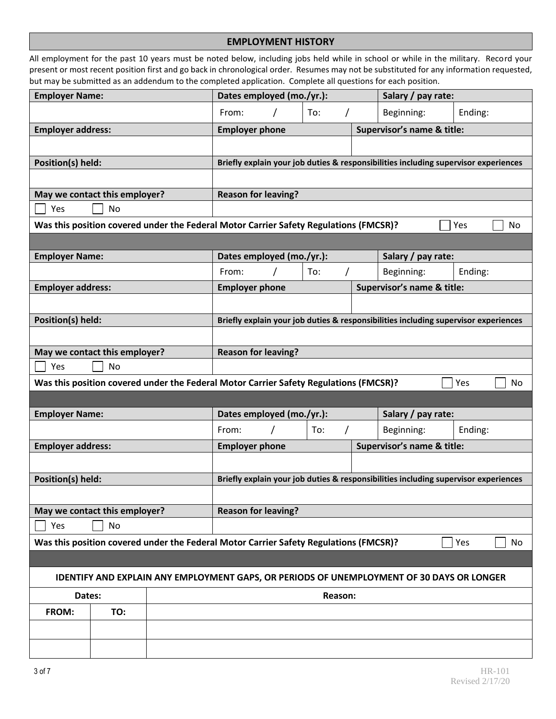#### **EMPLOYMENT HISTORY**

All employment for the past 10 years must be noted below, including jobs held while in school or while in the military. Record your present or most recent position first and go back in chronological order. Resumes may not be substituted for any information requested, but may be submitted as an addendum to the completed application. Complete all questions for each position.

| Ending:                                                                                   |
|-------------------------------------------------------------------------------------------|
| Supervisor's name & title:                                                                |
|                                                                                           |
| Briefly explain your job duties & responsibilities including supervisor experiences       |
|                                                                                           |
|                                                                                           |
|                                                                                           |
| Yes<br>No                                                                                 |
|                                                                                           |
|                                                                                           |
| Ending:                                                                                   |
| Supervisor's name & title:                                                                |
|                                                                                           |
| Briefly explain your job duties & responsibilities including supervisor experiences       |
|                                                                                           |
|                                                                                           |
|                                                                                           |
|                                                                                           |
| Yes<br><b>No</b>                                                                          |
|                                                                                           |
|                                                                                           |
| Ending:                                                                                   |
| Supervisor's name & title:                                                                |
|                                                                                           |
| Briefly explain your job duties & responsibilities including supervisor experiences       |
|                                                                                           |
|                                                                                           |
|                                                                                           |
| Yes<br>No                                                                                 |
|                                                                                           |
| IDENTIFY AND EXPLAIN ANY EMPLOYMENT GAPS, OR PERIODS OF UNEMPLOYMENT OF 30 DAYS OR LONGER |
|                                                                                           |
|                                                                                           |
|                                                                                           |
|                                                                                           |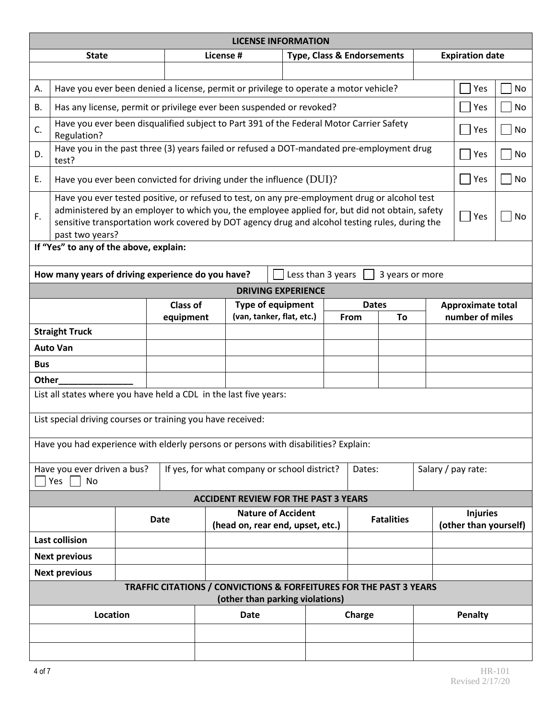|                                                                                                                                                                                                                                                                                                                                     | <b>LICENSE INFORMATION</b>                                                                                       |                                                                                                   |           |           |                                          |            |                                       |                    |                                             |  |  |                        |     |
|-------------------------------------------------------------------------------------------------------------------------------------------------------------------------------------------------------------------------------------------------------------------------------------------------------------------------------------|------------------------------------------------------------------------------------------------------------------|---------------------------------------------------------------------------------------------------|-----------|-----------|------------------------------------------|------------|---------------------------------------|--------------------|---------------------------------------------|--|--|------------------------|-----|
|                                                                                                                                                                                                                                                                                                                                     | <b>State</b>                                                                                                     |                                                                                                   |           | License # |                                          |            | <b>Type, Class &amp; Endorsements</b> |                    |                                             |  |  | <b>Expiration date</b> |     |
|                                                                                                                                                                                                                                                                                                                                     |                                                                                                                  |                                                                                                   |           |           |                                          |            |                                       |                    |                                             |  |  |                        |     |
| А.                                                                                                                                                                                                                                                                                                                                  | Have you ever been denied a license, permit or privilege to operate a motor vehicle?                             |                                                                                                   |           |           |                                          |            |                                       |                    |                                             |  |  | Yes                    | No  |
| В.                                                                                                                                                                                                                                                                                                                                  | Has any license, permit or privilege ever been suspended or revoked?                                             |                                                                                                   |           |           |                                          |            |                                       |                    |                                             |  |  | Yes                    | No  |
| C.                                                                                                                                                                                                                                                                                                                                  | Have you ever been disqualified subject to Part 391 of the Federal Motor Carrier Safety<br>Regulation?           |                                                                                                   |           |           |                                          |            |                                       |                    |                                             |  |  | Yes                    | No  |
| D.                                                                                                                                                                                                                                                                                                                                  | Have you in the past three (3) years failed or refused a DOT-mandated pre-employment drug<br>test?               |                                                                                                   |           |           |                                          |            | Yes                                   | No.                |                                             |  |  |                        |     |
| Ε.                                                                                                                                                                                                                                                                                                                                  | Have you ever been convicted for driving under the influence $(DUI)$ ?                                           |                                                                                                   |           |           |                                          |            |                                       |                    |                                             |  |  | Yes                    | No. |
| Have you ever tested positive, or refused to test, on any pre-employment drug or alcohol test<br>administered by an employer to which you, the employee applied for, but did not obtain, safety<br>F.<br>  Yes<br>sensitive transportation work covered by DOT agency drug and alcohol testing rules, during the<br>past two years? |                                                                                                                  |                                                                                                   |           |           | No                                       |            |                                       |                    |                                             |  |  |                        |     |
|                                                                                                                                                                                                                                                                                                                                     | If "Yes" to any of the above, explain:<br>How many years of driving experience do you have?                      |                                                                                                   |           |           |                                          |            |                                       |                    |                                             |  |  |                        |     |
|                                                                                                                                                                                                                                                                                                                                     |                                                                                                                  |                                                                                                   |           |           | <b>DRIVING EXPERIENCE</b>                |            | Less than 3 years                     |                    | 3 years or more                             |  |  |                        |     |
|                                                                                                                                                                                                                                                                                                                                     |                                                                                                                  |                                                                                                   | Class of  |           | <b>Type of equipment</b>                 |            |                                       | <b>Dates</b>       |                                             |  |  |                        |     |
|                                                                                                                                                                                                                                                                                                                                     |                                                                                                                  |                                                                                                   | equipment |           | (van, tanker, flat, etc.)                | To<br>From |                                       |                    | <b>Approximate total</b><br>number of miles |  |  |                        |     |
|                                                                                                                                                                                                                                                                                                                                     | <b>Straight Truck</b>                                                                                            |                                                                                                   |           |           |                                          |            |                                       |                    |                                             |  |  |                        |     |
|                                                                                                                                                                                                                                                                                                                                     | <b>Auto Van</b>                                                                                                  |                                                                                                   |           |           |                                          |            |                                       |                    |                                             |  |  |                        |     |
| <b>Bus</b>                                                                                                                                                                                                                                                                                                                          |                                                                                                                  |                                                                                                   |           |           |                                          |            |                                       |                    |                                             |  |  |                        |     |
| Other                                                                                                                                                                                                                                                                                                                               |                                                                                                                  |                                                                                                   |           |           |                                          |            |                                       |                    |                                             |  |  |                        |     |
|                                                                                                                                                                                                                                                                                                                                     | List all states where you have held a CDL in the last five years:                                                |                                                                                                   |           |           |                                          |            |                                       |                    |                                             |  |  |                        |     |
|                                                                                                                                                                                                                                                                                                                                     | List special driving courses or training you have received:                                                      |                                                                                                   |           |           |                                          |            |                                       |                    |                                             |  |  |                        |     |
|                                                                                                                                                                                                                                                                                                                                     | Have you had experience with elderly persons or persons with disabilities? Explain:                              |                                                                                                   |           |           |                                          |            |                                       |                    |                                             |  |  |                        |     |
| If yes, for what company or school district?<br>Have you ever driven a bus?<br>Yes<br>No                                                                                                                                                                                                                                            |                                                                                                                  |                                                                                                   |           | Dates:    |                                          |            |                                       | Salary / pay rate: |                                             |  |  |                        |     |
| <b>ACCIDENT REVIEW FOR THE PAST 3 YEARS</b>                                                                                                                                                                                                                                                                                         |                                                                                                                  |                                                                                                   |           |           |                                          |            |                                       |                    |                                             |  |  |                        |     |
|                                                                                                                                                                                                                                                                                                                                     |                                                                                                                  | <b>Nature of Accident</b><br><b>Fatalities</b><br><b>Date</b><br>(head on, rear end, upset, etc.) |           |           | <b>Injuries</b><br>(other than yourself) |            |                                       |                    |                                             |  |  |                        |     |
|                                                                                                                                                                                                                                                                                                                                     | <b>Last collision</b>                                                                                            |                                                                                                   |           |           |                                          |            |                                       |                    |                                             |  |  |                        |     |
|                                                                                                                                                                                                                                                                                                                                     | <b>Next previous</b>                                                                                             |                                                                                                   |           |           |                                          |            |                                       |                    |                                             |  |  |                        |     |
|                                                                                                                                                                                                                                                                                                                                     | <b>Next previous</b>                                                                                             |                                                                                                   |           |           |                                          |            |                                       |                    |                                             |  |  |                        |     |
|                                                                                                                                                                                                                                                                                                                                     | <b>TRAFFIC CITATIONS / CONVICTIONS &amp; FORFEITURES FOR THE PAST 3 YEARS</b><br>(other than parking violations) |                                                                                                   |           |           |                                          |            |                                       |                    |                                             |  |  |                        |     |
|                                                                                                                                                                                                                                                                                                                                     | Location                                                                                                         |                                                                                                   |           |           | <b>Date</b>                              |            |                                       | Charge             |                                             |  |  | Penalty                |     |
|                                                                                                                                                                                                                                                                                                                                     |                                                                                                                  |                                                                                                   |           |           |                                          |            |                                       |                    |                                             |  |  |                        |     |
|                                                                                                                                                                                                                                                                                                                                     |                                                                                                                  |                                                                                                   |           |           |                                          |            |                                       |                    |                                             |  |  |                        |     |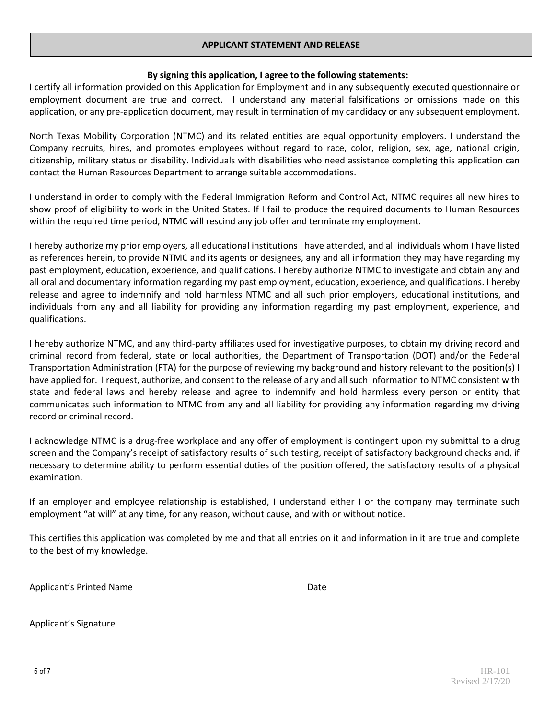## **APPLICANT STATEMENT AND RELEASE**

## **By signing this application, I agree to the following statements:**

I certify all information provided on this Application for Employment and in any subsequently executed questionnaire or employment document are true and correct. I understand any material falsifications or omissions made on this application, or any pre-application document, may result in termination of my candidacy or any subsequent employment.

North Texas Mobility Corporation (NTMC) and its related entities are equal opportunity employers. I understand the Company recruits, hires, and promotes employees without regard to race, color, religion, sex, age, national origin, citizenship, military status or disability. Individuals with disabilities who need assistance completing this application can contact the Human Resources Department to arrange suitable accommodations.

I understand in order to comply with the Federal Immigration Reform and Control Act, NTMC requires all new hires to show proof of eligibility to work in the United States. If I fail to produce the required documents to Human Resources within the required time period, NTMC will rescind any job offer and terminate my employment.

I hereby authorize my prior employers, all educational institutions I have attended, and all individuals whom I have listed as references herein, to provide NTMC and its agents or designees, any and all information they may have regarding my past employment, education, experience, and qualifications. I hereby authorize NTMC to investigate and obtain any and all oral and documentary information regarding my past employment, education, experience, and qualifications. I hereby release and agree to indemnify and hold harmless NTMC and all such prior employers, educational institutions, and individuals from any and all liability for providing any information regarding my past employment, experience, and qualifications.

I hereby authorize NTMC, and any third-party affiliates used for investigative purposes, to obtain my driving record and criminal record from federal, state or local authorities, the Department of Transportation (DOT) and/or the Federal Transportation Administration (FTA) for the purpose of reviewing my background and history relevant to the position(s) I have applied for. I request, authorize, and consent to the release of any and all such information to NTMC consistent with state and federal laws and hereby release and agree to indemnify and hold harmless every person or entity that communicates such information to NTMC from any and all liability for providing any information regarding my driving record or criminal record.

I acknowledge NTMC is a drug-free workplace and any offer of employment is contingent upon my submittal to a drug screen and the Company's receipt of satisfactory results of such testing, receipt of satisfactory background checks and, if necessary to determine ability to perform essential duties of the position offered, the satisfactory results of a physical examination.

If an employer and employee relationship is established, I understand either I or the company may terminate such employment "at will" at any time, for any reason, without cause, and with or without notice.

This certifies this application was completed by me and that all entries on it and information in it are true and complete to the best of my knowledge.

Applicant's Printed Name **Date** Date

Applicant's Signature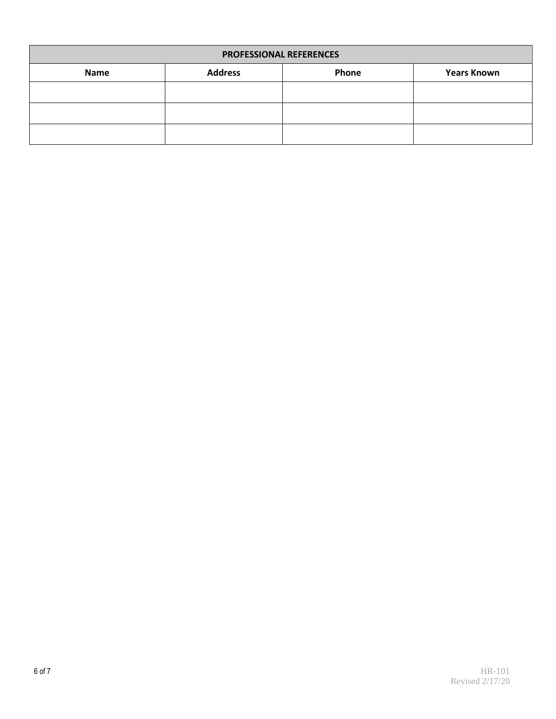| <b>PROFESSIONAL REFERENCES</b> |                         |  |  |  |  |  |  |
|--------------------------------|-------------------------|--|--|--|--|--|--|
| <b>Name</b>                    | <b>Address</b><br>Phone |  |  |  |  |  |  |
|                                |                         |  |  |  |  |  |  |
|                                |                         |  |  |  |  |  |  |
|                                |                         |  |  |  |  |  |  |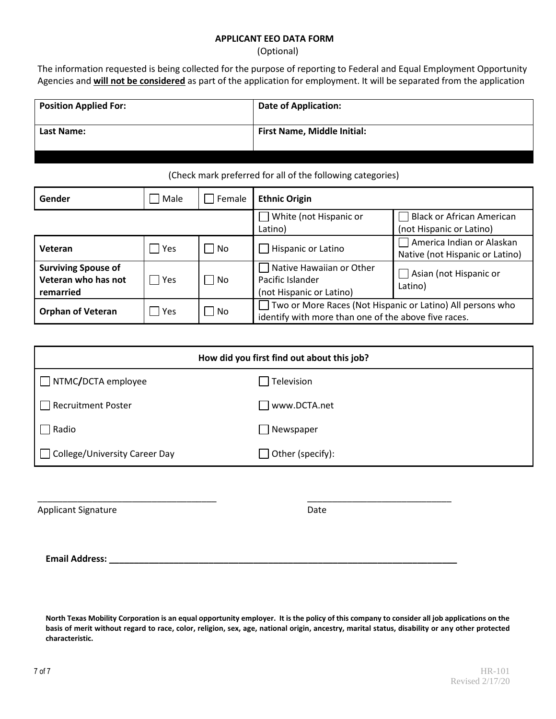#### **APPLICANT EEO DATA FORM**

(Optional)

The information requested is being collected for the purpose of reporting to Federal and Equal Employment Opportunity Agencies and **will not be considered** as part of the application for employment. It will be separated from the application

| <b>Position Applied For:</b> | <b>Date of Application:</b>        |
|------------------------------|------------------------------------|
| <b>Last Name:</b>            | <b>First Name, Middle Initial:</b> |

## (Check mark preferred for all of the following categories)

| Gender                                                         | Male  | Female | <b>Ethnic Origin</b>                                                                                               |                                                              |  |  |  |
|----------------------------------------------------------------|-------|--------|--------------------------------------------------------------------------------------------------------------------|--------------------------------------------------------------|--|--|--|
|                                                                |       |        | White (not Hispanic or<br>Latino)                                                                                  | <b>Black or African American</b><br>(not Hispanic or Latino) |  |  |  |
| Veteran                                                        | Yes   | No     | Hispanic or Latino                                                                                                 | America Indian or Alaskan<br>Native (not Hispanic or Latino) |  |  |  |
| <b>Surviving Spouse of</b><br>Veteran who has not<br>remarried | Yes   | l No   | Native Hawaiian or Other<br>Pacific Islander<br>(not Hispanic or Latino)                                           | Asian (not Hispanic or<br>Latino)                            |  |  |  |
| <b>Orphan of Veteran</b>                                       | l Yes | l No   | Two or More Races (Not Hispanic or Latino) All persons who<br>identify with more than one of the above five races. |                                                              |  |  |  |

| How did you first find out about this job? |                              |  |  |
|--------------------------------------------|------------------------------|--|--|
| NTMC/DCTA employee<br>$\perp$              | Television                   |  |  |
| <b>Recruitment Poster</b>                  | www.DCTA.net                 |  |  |
| Radio                                      | Newspaper<br>- 1             |  |  |
| □ College/University Career Day            | Other (specify):<br>$\sim$ 1 |  |  |
|                                            |                              |  |  |

\_\_\_\_\_\_\_\_\_\_\_\_\_\_\_\_\_\_\_\_\_\_\_\_\_\_\_\_\_\_\_\_\_\_\_\_ \_\_\_\_\_\_\_\_\_\_\_\_\_\_\_\_\_\_\_\_\_\_\_\_\_\_\_\_\_

Applicant Signature Date

**Email Address: \_\_\_\_\_\_\_\_\_\_\_\_\_\_\_\_\_\_\_\_\_\_\_\_\_\_\_\_\_\_\_\_\_\_\_\_\_\_\_\_\_\_\_\_\_\_\_\_\_\_\_\_\_\_\_\_\_\_\_\_\_\_\_\_\_\_\_\_\_\_**

**North Texas Mobility Corporation is an equal opportunity employer. It is the policy of this company to consider all job applications on the basis of merit without regard to race, color, religion, sex, age, national origin, ancestry, marital status, disability or any other protected characteristic.**